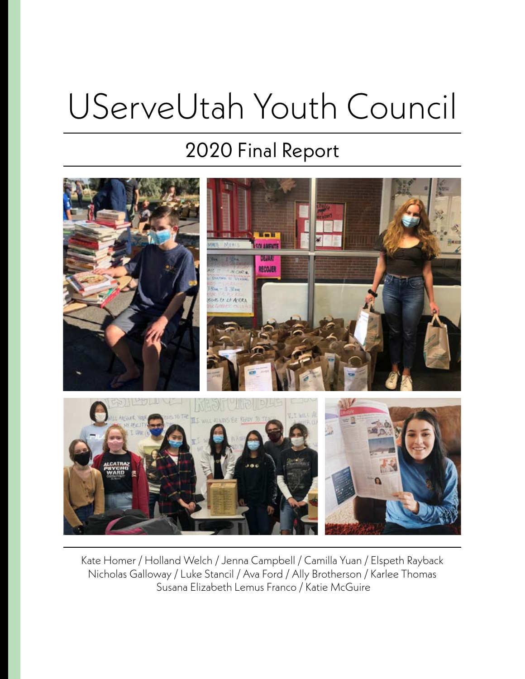# UServeUtah Youth Council

### 2020 Final Report



Kate Homer / Holland Welch / Jenna Campbell / Camilla Yuan / Elspeth Rayback Nicholas Galloway / Luke Stancil / Ava Ford / Ally Brotherson / Karlee Thomas Susana Elizabeth Lemus Franco / Katie McGuire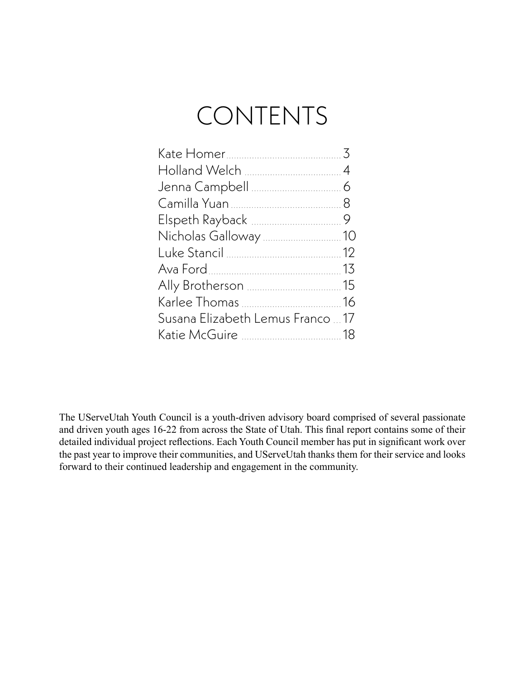### CONTENTS

| Susana Elizabeth Lemus Franco  17 |  |
|-----------------------------------|--|
|                                   |  |

The UServeUtah Youth Council is a youth-driven advisory board comprised of several passionate and driven youth ages 16-22 from across the State of Utah. This final report contains some of their detailed individual project reflections. Each Youth Council member has put in significant work over the past year to improve their communities, and UServeUtah thanks them for their service and looks forward to their continued leadership and engagement in the community.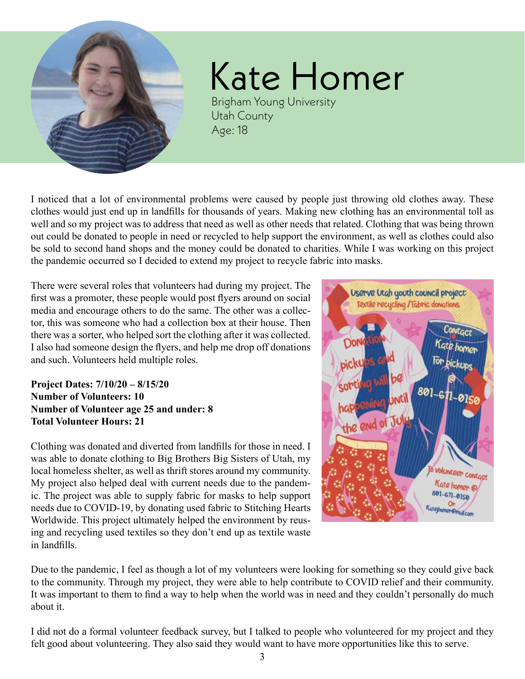<span id="page-2-0"></span>

Kate Homer Brigham Young University Utah County

I noticed that a lot of environmental problems were caused by people just throwing old clothes away. These clothes would just end up in landfills for thousands of years. Making new clothing has an environmental toll as well and so my project was to address that need as well as other needs that related. Clothing that was being thrown out could be donated to people in need or recycled to help support the environment, as well as clothes could also be sold to second hand shops and the money could be donated to charities. While I was working on this project the pandemic occurred so I decided to extend my project to recycle fabric into masks.

Age: 18

There were several roles that volunteers had during my project. The first was a promoter, these people would post flyers around on social media and encourage others to do the same. The other was a collector, this was someone who had a collection box at their house. Then there was a sorter, who helped sort the clothing after it was collected. I also had someone design the flyers, and help me drop off donations and such. Volunteers held multiple roles.

**Project Dates: 7/10/20 – 8/15/20 Number of Volunteers: 10 Number of Volunteer age 25 and under: 8 Total Volunteer Hours: 21**

Clothing was donated and diverted from landfills for those in need. I was able to donate clothing to Big Brothers Big Sisters of Utah, my local homeless shelter, as well as thrift stores around my community. My project also helped deal with current needs due to the pandemic. The project was able to supply fabric for masks to help support needs due to COVID-19, by donating used fabric to Stitching Hearts Worldwide. This project ultimately helped the environment by reusing and recycling used textiles so they don't end up as textile waste in landfills.



Due to the pandemic, I feel as though a lot of my volunteers were looking for something so they could give back to the community. Through my project, they were able to help contribute to COVID relief and their community. It was important to them to find a way to help when the world was in need and they couldn't personally do much about it.

I did not do a formal volunteer feedback survey, but I talked to people who volunteered for my project and they felt good about volunteering. They also said they would want to have more opportunities like this to serve.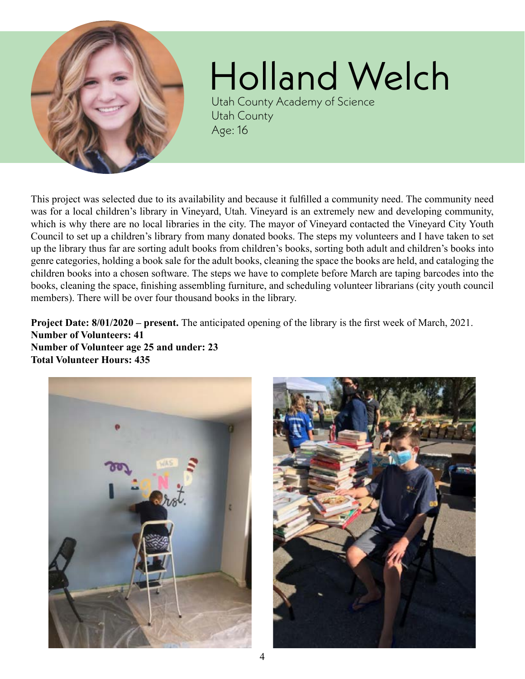<span id="page-3-0"></span>

## Holland Welch

Utah County Academy of Science Utah County Age: 16

This project was selected due to its availability and because it fulfilled a community need. The community need was for a local children's library in Vineyard, Utah. Vineyard is an extremely new and developing community, which is why there are no local libraries in the city. The mayor of Vineyard contacted the Vineyard City Youth Council to set up a children's library from many donated books. The steps my volunteers and I have taken to set up the library thus far are sorting adult books from children's books, sorting both adult and children's books into genre categories, holding a book sale for the adult books, cleaning the space the books are held, and cataloging the children books into a chosen software. The steps we have to complete before March are taping barcodes into the books, cleaning the space, finishing assembling furniture, and scheduling volunteer librarians (city youth council members). There will be over four thousand books in the library.

**Project Date: 8/01/2020 – present.** The anticipated opening of the library is the first week of March, 2021. **Number of Volunteers: 41 Number of Volunteer age 25 and under: 23 Total Volunteer Hours: 435**



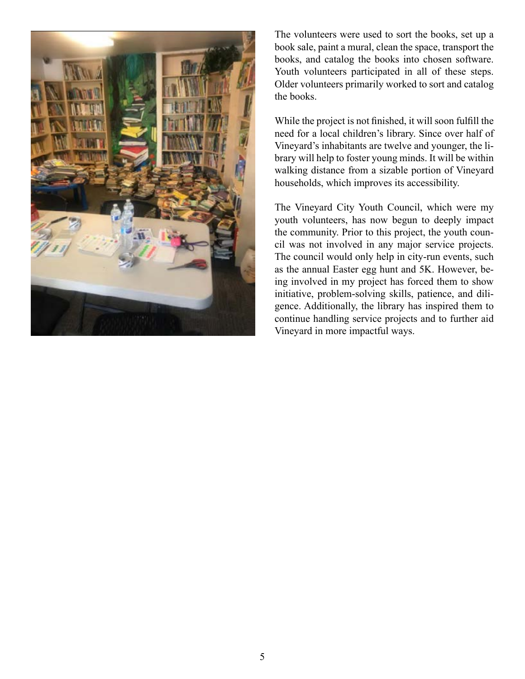

The volunteers were used to sort the books, set up a book sale, paint a mural, clean the space, transport the books, and catalog the books into chosen software. Youth volunteers participated in all of these steps. Older volunteers primarily worked to sort and catalog the books.

While the project is not finished, it will soon fulfill the need for a local children's library. Since over half of Vineyard's inhabitants are twelve and younger, the library will help to foster young minds. It will be within walking distance from a sizable portion of Vineyard households, which improves its accessibility.

The Vineyard City Youth Council, which were my youth volunteers, has now begun to deeply impact the community. Prior to this project, the youth council was not involved in any major service projects. The council would only help in city-run events, such as the annual Easter egg hunt and 5K. However, being involved in my project has forced them to show initiative, problem-solving skills, patience, and diligence. Additionally, the library has inspired them to continue handling service projects and to further aid Vineyard in more impactful ways.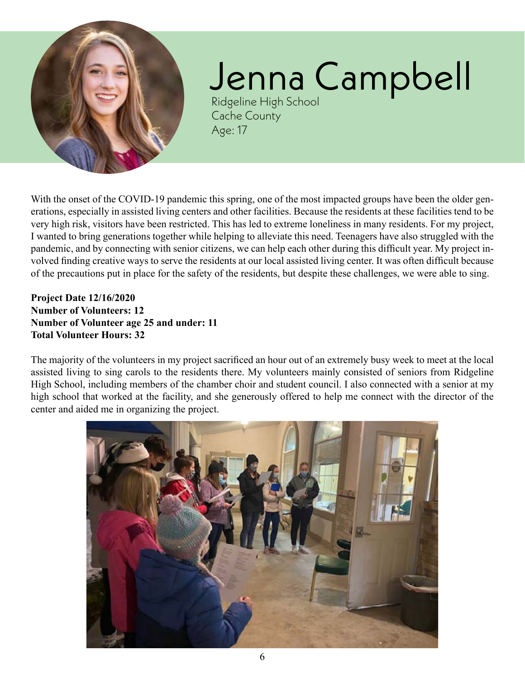<span id="page-5-0"></span>

# Jenna Campbell

Ridgeline High School Cache County Age: 17

With the onset of the COVID-19 pandemic this spring, one of the most impacted groups have been the older generations, especially in assisted living centers and other facilities. Because the residents at these facilities tend to be very high risk, visitors have been restricted. This has led to extreme loneliness in many residents. For my project, I wanted to bring generations together while helping to alleviate this need. Teenagers have also struggled with the pandemic, and by connecting with senior citizens, we can help each other during this difficult year. My project involved finding creative ways to serve the residents at our local assisted living center. It was often difficult because of the precautions put in place for the safety of the residents, but despite these challenges, we were able to sing.

**Project Date 12/16/2020 Number of Volunteers: 12 Number of Volunteer age 25 and under: 11 Total Volunteer Hours: 32**

The majority of the volunteers in my project sacrificed an hour out of an extremely busy week to meet at the local assisted living to sing carols to the residents there. My volunteers mainly consisted of seniors from Ridgeline High School, including members of the chamber choir and student council. I also connected with a senior at my high school that worked at the facility, and she generously offered to help me connect with the director of the center and aided me in organizing the project.

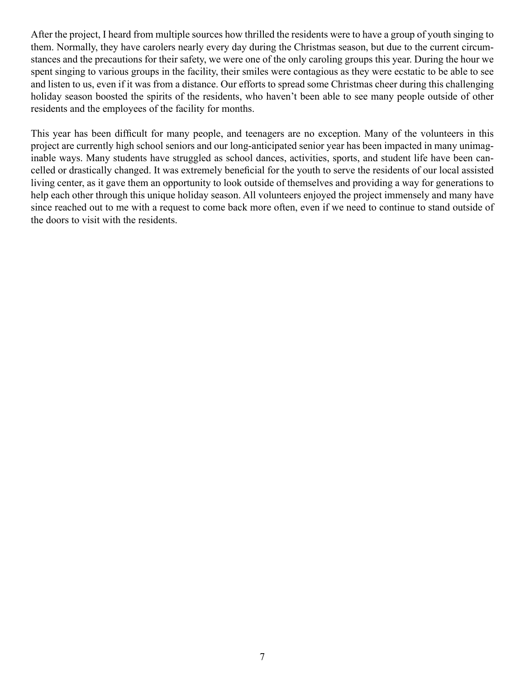After the project, I heard from multiple sources how thrilled the residents were to have a group of youth singing to them. Normally, they have carolers nearly every day during the Christmas season, but due to the current circumstances and the precautions for their safety, we were one of the only caroling groups this year. During the hour we spent singing to various groups in the facility, their smiles were contagious as they were ecstatic to be able to see and listen to us, even if it was from a distance. Our efforts to spread some Christmas cheer during this challenging holiday season boosted the spirits of the residents, who haven't been able to see many people outside of other residents and the employees of the facility for months.

This year has been difficult for many people, and teenagers are no exception. Many of the volunteers in this project are currently high school seniors and our long-anticipated senior year has been impacted in many unimaginable ways. Many students have struggled as school dances, activities, sports, and student life have been cancelled or drastically changed. It was extremely beneficial for the youth to serve the residents of our local assisted living center, as it gave them an opportunity to look outside of themselves and providing a way for generations to help each other through this unique holiday season. All volunteers enjoyed the project immensely and many have since reached out to me with a request to come back more often, even if we need to continue to stand outside of the doors to visit with the residents.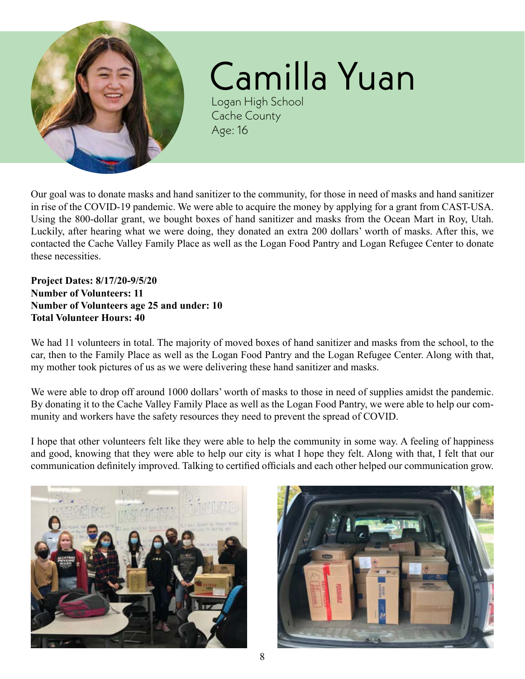<span id="page-7-0"></span>

## Camilla Yuan

Logan High School Cache County Age: 16

Our goal was to donate masks and hand sanitizer to the community, for those in need of masks and hand sanitizer in rise of the COVID-19 pandemic. We were able to acquire the money by applying for a grant from CAST-USA. Using the 800-dollar grant, we bought boxes of hand sanitizer and masks from the Ocean Mart in Roy, Utah. Luckily, after hearing what we were doing, they donated an extra 200 dollars' worth of masks. After this, we contacted the Cache Valley Family Place as well as the Logan Food Pantry and Logan Refugee Center to donate these necessities.

**Project Dates: 8/17/20-9/5/20 Number of Volunteers: 11 Number of Volunteers age 25 and under: 10 Total Volunteer Hours: 40**

We had 11 volunteers in total. The majority of moved boxes of hand sanitizer and masks from the school, to the car, then to the Family Place as well as the Logan Food Pantry and the Logan Refugee Center. Along with that, my mother took pictures of us as we were delivering these hand sanitizer and masks.

We were able to drop off around 1000 dollars' worth of masks to those in need of supplies amidst the pandemic. By donating it to the Cache Valley Family Place as well as the Logan Food Pantry, we were able to help our community and workers have the safety resources they need to prevent the spread of COVID.

I hope that other volunteers felt like they were able to help the community in some way. A feeling of happiness and good, knowing that they were able to help our city is what I hope they felt. Along with that, I felt that our communication definitely improved. Talking to certified officials and each other helped our communication grow.



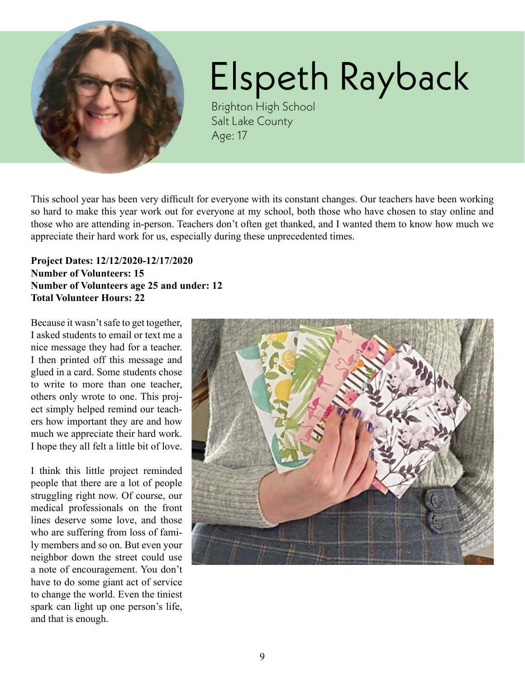<span id="page-8-0"></span>

# Elspeth Rayback

Brighton High School Salt Lake County Age: 17

This school year has been very difficult for everyone with its constant changes. Our teachers have been working so hard to make this year work out for everyone at my school, both those who have chosen to stay online and those who are attending in-person. Teachers don't often get thanked, and I wanted them to know how much we appreciate their hard work for us, especially during these unprecedented times.

### **Project Dates: 12/12/2020-12/17/2020 Number of Volunteers: 15 Number of Volunteers age 25 and under: 12 Total Volunteer Hours: 22**

Because it wasn't safe to get together, I asked students to email or text me a nice message they had for a teacher. I then printed off this message and glued in a card. Some students chose to write to more than one teacher, others only wrote to one. This project simply helped remind our teachers how important they are and how much we appreciate their hard work. I hope they all felt a little bit of love.

I think this little project reminded people that there are a lot of people struggling right now. Of course, our medical professionals on the front lines deserve some love, and those who are suffering from loss of family members and so on. But even your neighbor down the street could use a note of encouragement. You don't have to do some giant act of service to change the world. Even the tiniest spark can light up one person's life, and that is enough.

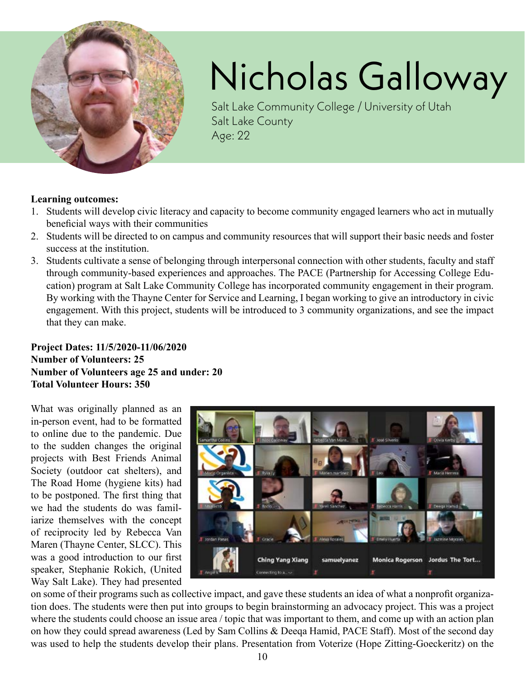<span id="page-9-0"></span>

# Nicholas Galloway

Salt Lake Community College / University of Utah Salt Lake County Age: 22

#### **Learning outcomes:**

- 1. Students will develop civic literacy and capacity to become community engaged learners who act in mutually beneficial ways with their communities
- 2. Students will be directed to on campus and community resources that will support their basic needs and foster success at the institution.
- 3. Students cultivate a sense of belonging through interpersonal connection with other students, faculty and staff through community-based experiences and approaches. The PACE (Partnership for Accessing College Education) program at Salt Lake Community College has incorporated community engagement in their program. By working with the Thayne Center for Service and Learning, I began working to give an introductory in civic engagement. With this project, students will be introduced to 3 community organizations, and see the impact that they can make.

### **Project Dates: 11/5/2020-11/06/2020 Number of Volunteers: 25 Number of Volunteers age 25 and under: 20 Total Volunteer Hours: 350**

What was originally planned as an in-person event, had to be formatted to online due to the pandemic. Due to the sudden changes the original projects with Best Friends Animal Society (outdoor cat shelters), and The Road Home (hygiene kits) had to be postponed. The first thing that we had the students do was familiarize themselves with the concept of reciprocity led by Rebecca Van Maren (Thayne Center, SLCC). This was a good introduction to our first speaker, Stephanie Rokich, (United Way Salt Lake). They had presented



on some of their programs such as collective impact, and gave these students an idea of what a nonprofit organization does. The students were then put into groups to begin brainstorming an advocacy project. This was a project where the students could choose an issue area / topic that was important to them, and come up with an action plan on how they could spread awareness (Led by Sam Collins & Deeqa Hamid, PACE Staff). Most of the second day was used to help the students develop their plans. Presentation from Voterize (Hope Zitting-Goeckeritz) on the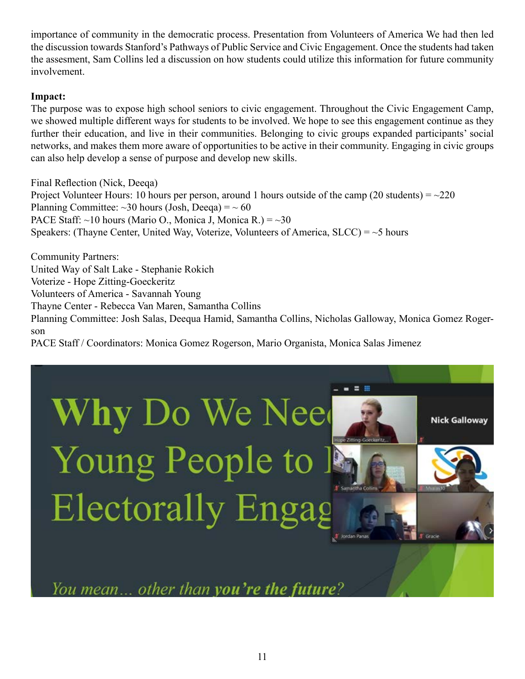importance of community in the democratic process. Presentation from Volunteers of America We had then led the discussion towards Stanford's Pathways of Public Service and Civic Engagement. Once the students had taken the assesment, Sam Collins led a discussion on how students could utilize this information for future community involvement.

#### **Impact:**

The purpose was to expose high school seniors to civic engagement. Throughout the Civic Engagement Camp, we showed multiple different ways for students to be involved. We hope to see this engagement continue as they further their education, and live in their communities. Belonging to civic groups expanded participants' social networks, and makes them more aware of opportunities to be active in their community. Engaging in civic groups can also help develop a sense of purpose and develop new skills.

```
Final Reflection (Nick, Deeqa)
```
Project Volunteer Hours: 10 hours per person, around 1 hours outside of the camp (20 students) =  $\sim$ Planning Committee:  $\sim$ 30 hours (Josh, Deeqa) =  $\sim$ PACE Staff:  $\sim$ 10 hours (Mario O., Monica J, Monica R.) =  $\sim$ Speakers: (Thayne Center, United Way, Voterize, Volunteers of America,  $SLCC$ ) = ~5 hours

Community Partners: United Way of Salt Lake - Stephanie Rokich Voterize - Hope Zitting-Goeckeritz Volunteers of America - Savannah Young Thayne Center - Rebecca Van Maren, Samantha Collins Planning Committee: Josh Salas, Deequa Hamid, Samantha Collins, Nicholas Galloway, Monica Gomez Rogerson

PACE Staff / Coordinators: Monica Gomez Rogerson, Mario Organista, Monica Salas Jimenez



You mean... other than you're the future?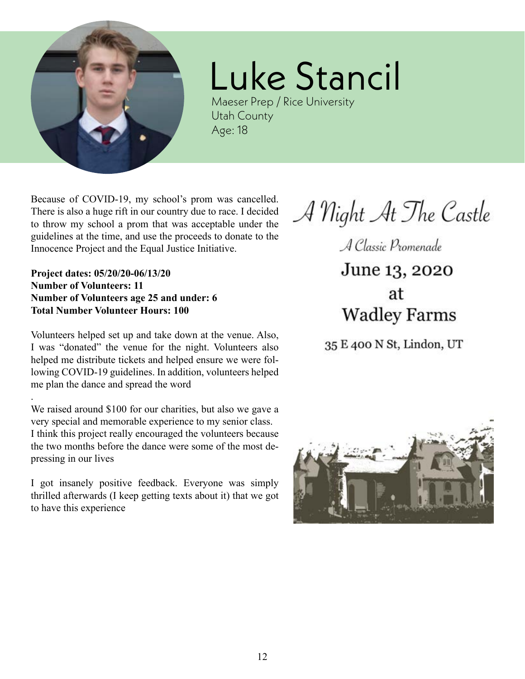<span id="page-11-0"></span>

### Luke Stancil

Maeser Prep / Rice University Utah County Age: 18

Because of COVID-19, my school's prom was cancelled. There is also a huge rift in our country due to race. I decided to throw my school a prom that was acceptable under the guidelines at the time, and use the proceeds to donate to the Innocence Project and the Equal Justice Initiative.

**Project dates: 05/20/20-06/13/20 Number of Volunteers: 11 Number of Volunteers age 25 and under: 6 Total Number Volunteer Hours: 100**

.

Volunteers helped set up and take down at the venue. Also, I was "donated" the venue for the night. Volunteers also helped me distribute tickets and helped ensure we were following COVID-19 guidelines. In addition, volunteers helped me plan the dance and spread the word

We raised around \$100 for our charities, but also we gave a very special and memorable experience to my senior class. I think this project really encouraged the volunteers because the two months before the dance were some of the most depressing in our lives

I got insanely positive feedback. Everyone was simply thrilled afterwards (I keep getting texts about it) that we got to have this experience

A Night At The Castle

A Classic Promenade June 13, 2020

at **Wadley Farms** 

35 E 400 N St, Lindon, UT

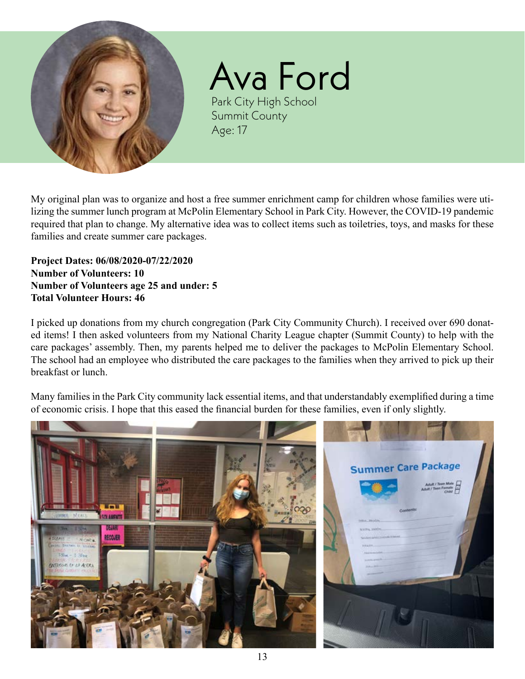<span id="page-12-0"></span>

Ava Ford Park City High School Summit County Age: 17

My original plan was to organize and host a free summer enrichment camp for children whose families were utilizing the summer lunch program at McPolin Elementary School in Park City. However, the COVID-19 pandemic required that plan to change. My alternative idea was to collect items such as toiletries, toys, and masks for these families and create summer care packages.

**Project Dates: 06/08/2020-07/22/2020 Number of Volunteers: 10 Number of Volunteers age 25 and under: 5 Total Volunteer Hours: 46**

I picked up donations from my church congregation (Park City Community Church). I received over 690 donated items! I then asked volunteers from my National Charity League chapter (Summit County) to help with the care packages' assembly. Then, my parents helped me to deliver the packages to McPolin Elementary School. The school had an employee who distributed the care packages to the families when they arrived to pick up their breakfast or lunch.

Many families in the Park City community lack essential items, and that understandably exemplified during a time of economic crisis. I hope that this eased the financial burden for these families, even if only slightly.

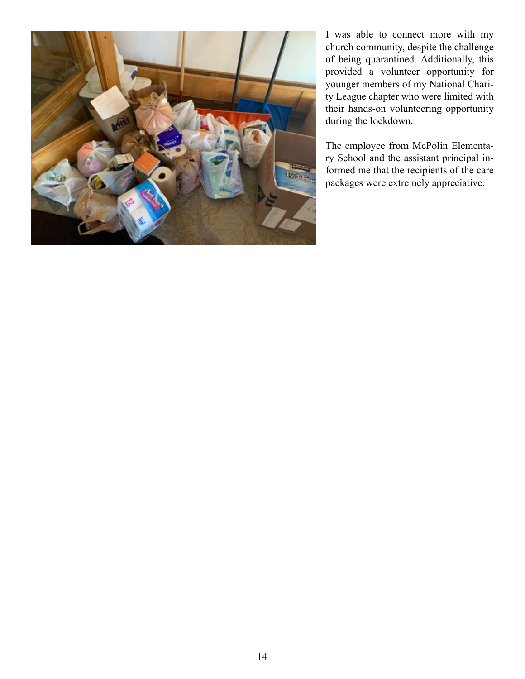

I was able to connect more with my church community, despite the challenge of being quarantined. Additionally, this provided a volunteer opportunity for younger members of my National Charity League chapter who were limited with their hands-on volunteering opportunity during the lockdown.

The employee from McPolin Elementary School and the assistant principal informed me that the recipients of the care packages were extremely appreciative.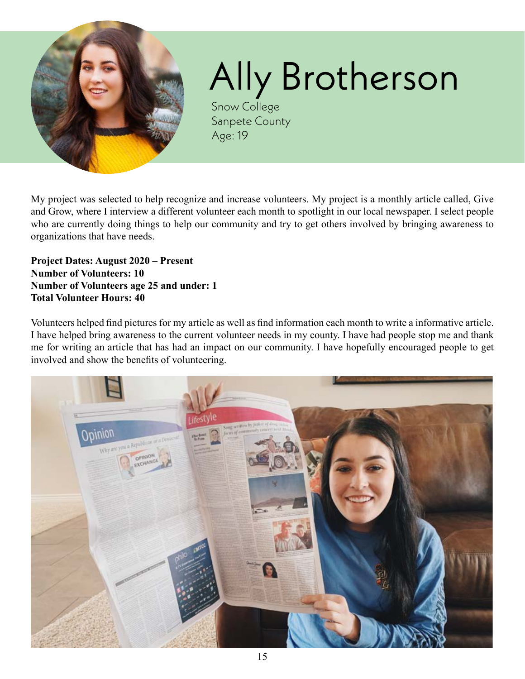<span id="page-14-0"></span>

# Ally Brotherson

Snow College Sanpete County Age: 19

My project was selected to help recognize and increase volunteers. My project is a monthly article called, Give and Grow, where I interview a different volunteer each month to spotlight in our local newspaper. I select people who are currently doing things to help our community and try to get others involved by bringing awareness to organizations that have needs.

**Project Dates: August 2020 – Present Number of Volunteers: 10 Number of Volunteers age 25 and under: 1 Total Volunteer Hours: 40**

Volunteers helped find pictures for my article as well as find information each month to write a informative article. I have helped bring awareness to the current volunteer needs in my county. I have had people stop me and thank me for writing an article that has had an impact on our community. I have hopefully encouraged people to get involved and show the benefits of volunteering.

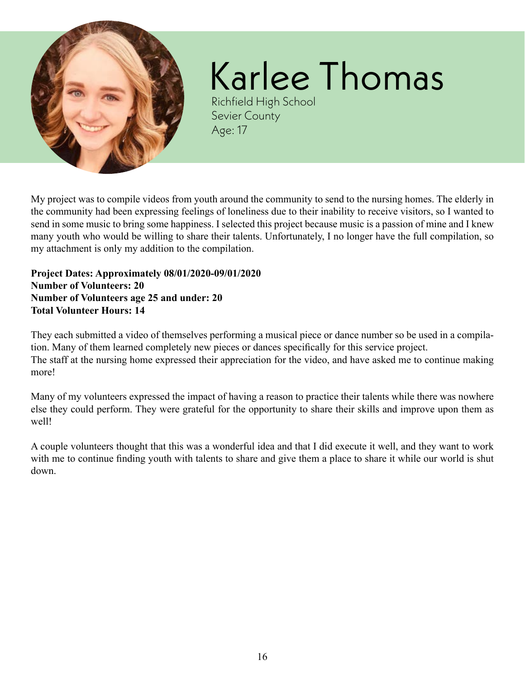<span id="page-15-0"></span>

# Karlee Thomas

Richfield High School Sevier County Age: 17

My project was to compile videos from youth around the community to send to the nursing homes. The elderly in the community had been expressing feelings of loneliness due to their inability to receive visitors, so I wanted to send in some music to bring some happiness. I selected this project because music is a passion of mine and I knew many youth who would be willing to share their talents. Unfortunately, I no longer have the full compilation, so my attachment is only my addition to the compilation.

**Project Dates: Approximately 08/01/2020-09/01/2020 Number of Volunteers: 20 Number of Volunteers age 25 and under: 20 Total Volunteer Hours: 14**

They each submitted a video of themselves performing a musical piece or dance number so be used in a compilation. Many of them learned completely new pieces or dances specifically for this service project. The staff at the nursing home expressed their appreciation for the video, and have asked me to continue making more!

Many of my volunteers expressed the impact of having a reason to practice their talents while there was nowhere else they could perform. They were grateful for the opportunity to share their skills and improve upon them as well!

A couple volunteers thought that this was a wonderful idea and that I did execute it well, and they want to work with me to continue finding youth with talents to share and give them a place to share it while our world is shut down.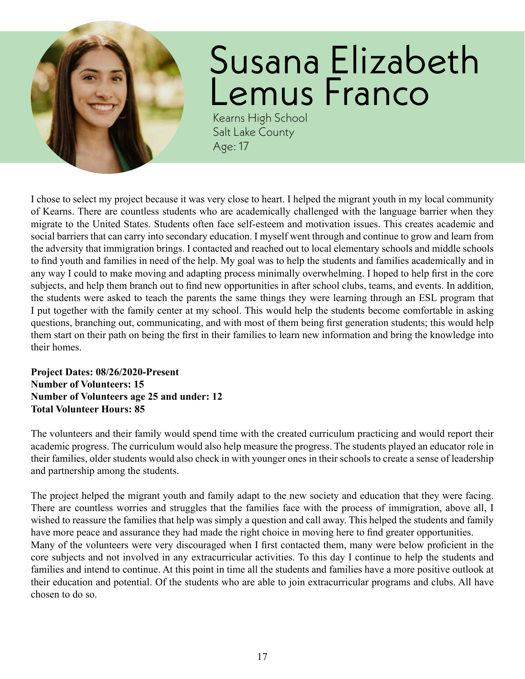<span id="page-16-0"></span>

## Susana Elizabeth Lemus Franco

Kearns High School Salt Lake County Age: 17

I chose to select my project because it was very close to heart. I helped the migrant youth in my local community of Kearns. There are countless students who are academically challenged with the language barrier when they migrate to the United States. Students often face self-esteem and motivation issues. This creates academic and social barriers that can carry into secondary education. I myself went through and continue to grow and learn from the adversity that immigration brings. I contacted and reached out to local elementary schools and middle schools to find youth and families in need of the help. My goal was to help the students and families academically and in any way I could to make moving and adapting process minimally overwhelming. I hoped to help first in the core subjects, and help them branch out to find new opportunities in after school clubs, teams, and events. In addition, the students were asked to teach the parents the same things they were learning through an ESL program that I put together with the family center at my school. This would help the students become comfortable in asking questions, branching out, communicating, and with most of them being first generation students; this would help them start on their path on being the first in their families to learn new information and bring the knowledge into their homes.

#### **Project Dates: 08/26/2020-Present Number of Volunteers: 15 Number of Volunteers age 25 and under: 12 Total Volunteer Hours: 85**

The volunteers and their family would spend time with the created curriculum practicing and would report their academic progress. The curriculum would also help measure the progress. The students played an educator role in their families, older students would also check in with younger ones in their schools to create a sense of leadership and partnership among the students.

The project helped the migrant youth and family adapt to the new society and education that they were facing. There are countless worries and struggles that the families face with the process of immigration, above all, I wished to reassure the families that help was simply a question and call away. This helped the students and family have more peace and assurance they had made the right choice in moving here to find greater opportunities. Many of the volunteers were very discouraged when I first contacted them, many were below proficient in the core subjects and not involved in any extracurricular activities. To this day I continue to help the students and families and intend to continue. At this point in time all the students and families have a more positive outlook at their education and potential. Of the students who are able to join extracurricular programs and clubs. All have chosen to do so.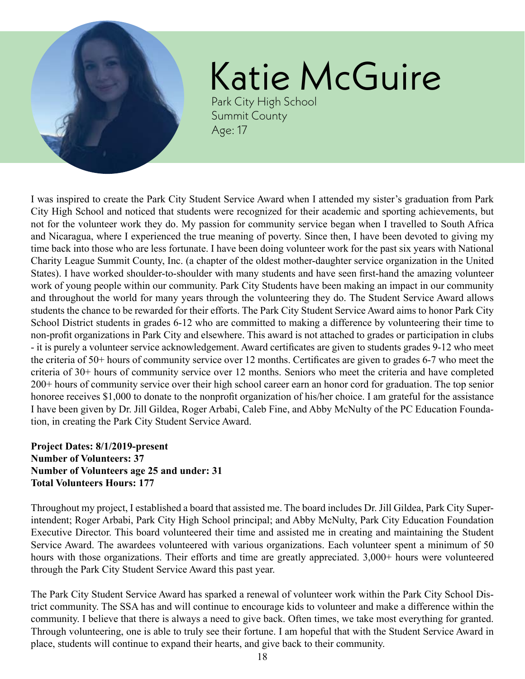<span id="page-17-0"></span>

# Katie McGuire

Park City High School Summit County Age: 17

I was inspired to create the Park City Student Service Award when I attended my sister's graduation from Park City High School and noticed that students were recognized for their academic and sporting achievements, but not for the volunteer work they do. My passion for community service began when I travelled to South Africa and Nicaragua, where I experienced the true meaning of poverty. Since then, I have been devoted to giving my time back into those who are less fortunate. I have been doing volunteer work for the past six years with National Charity League Summit County, Inc. (a chapter of the oldest mother-daughter service organization in the United States). I have worked shoulder-to-shoulder with many students and have seen first-hand the amazing volunteer work of young people within our community. Park City Students have been making an impact in our community and throughout the world for many years through the volunteering they do. The Student Service Award allows students the chance to be rewarded for their efforts. The Park City Student Service Award aims to honor Park City School District students in grades 6-12 who are committed to making a difference by volunteering their time to non-profit organizations in Park City and elsewhere. This award is not attached to grades or participation in clubs - it is purely a volunteer service acknowledgement. Award certificates are given to students grades 9-12 who meet the criteria of 50+ hours of community service over 12 months. Certificates are given to grades 6-7 who meet the criteria of 30+ hours of community service over 12 months. Seniors who meet the criteria and have completed 200+ hours of community service over their high school career earn an honor cord for graduation. The top senior honoree receives \$1,000 to donate to the nonprofit organization of his/her choice. I am grateful for the assistance I have been given by Dr. Jill Gildea, Roger Arbabi, Caleb Fine, and Abby McNulty of the PC Education Foundation, in creating the Park City Student Service Award.

### **Project Dates: 8/1/2019-present Number of Volunteers: 37 Number of Volunteers age 25 and under: 31 Total Volunteers Hours: 177**

Throughout my project, I established a board that assisted me. The board includes Dr. Jill Gildea, Park City Superintendent; Roger Arbabi, Park City High School principal; and Abby McNulty, Park City Education Foundation Executive Director. This board volunteered their time and assisted me in creating and maintaining the Student Service Award. The awardees volunteered with various organizations. Each volunteer spent a minimum of 50 hours with those organizations. Their efforts and time are greatly appreciated. 3,000+ hours were volunteered through the Park City Student Service Award this past year.

The Park City Student Service Award has sparked a renewal of volunteer work within the Park City School District community. The SSA has and will continue to encourage kids to volunteer and make a difference within the community. I believe that there is always a need to give back. Often times, we take most everything for granted. Through volunteering, one is able to truly see their fortune. I am hopeful that with the Student Service Award in place, students will continue to expand their hearts, and give back to their community.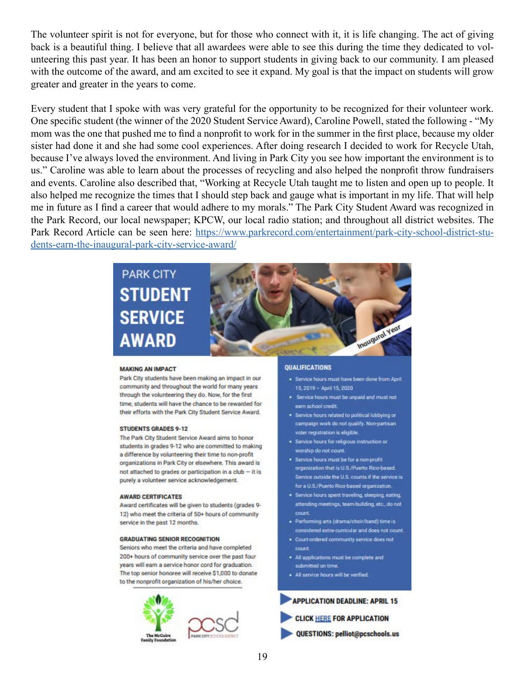The volunteer spirit is not for everyone, but for those who connect with it, it is life changing. The act of giving back is a beautiful thing. I believe that all awardees were able to see this during the time they dedicated to volunteering this past year. It has been an honor to support students in giving back to our community. I am pleased with the outcome of the award, and am excited to see it expand. My goal is that the impact on students will grow greater and greater in the years to come.

Every student that I spoke with was very grateful for the opportunity to be recognized for their volunteer work. One specific student (the winner of the 2020 Student Service Award), Caroline Powell, stated the following - "My mom was the one that pushed me to find a nonprofit to work for in the summer in the first place, because my older sister had done it and she had some cool experiences. After doing research I decided to work for Recycle Utah, because I've always loved the environment. And living in Park City you see how important the environment is to us." Caroline was able to learn about the processes of recycling and also helped the nonprofit throw fundraisers and events. Caroline also described that, "Working at Recycle Utah taught me to listen and open up to people. It also helped me recognize the times that I should step back and gauge what is important in my life. That will help me in future as I find a career that would adhere to my morals." The Park City Student Award was recognized in the Park Record, our local newspaper; KPCW, our local radio station; and throughout all district websites. The Park Record Article can be seen here: [https://www.parkrecord.com/entertainment/park-city-school-district-stu](https://www.parkrecord.com/entertainment/park-city-school-district-students-earn-the-inaugural-park-city-service-award/)[dents-earn-the-inaugural-park-city-service-award/](https://www.parkrecord.com/entertainment/park-city-school-district-students-earn-the-inaugural-park-city-service-award/)



#### **MAKING AN IMPACT**

Park City students have been making an impact in our community and throughout the world for many years through the volunteering they do. Now, for the first time, students will have the chance to be rewarded for their efforts with the Park City Student Service Award.

#### **STUDENTS GRADES 9-12**

The Park City Student Service Award aims to honor students in grades 9-12 who are committed to making a difference by volunteering their time to non-profit organizations in Park City or elsewhere. This award is not attached to grades or participation in a club - it is purely a volunteer service acknowledgement.

#### **AWARD CERTIFICATES**

Award certificates will be given to students (grades 9-12) who meet the criteria of 50+ hours of community service in the past 12 months.

#### **GRADUATING SENIOR RECOGNITION**

Seniors who meet the criteria and have completed 200+ hours of community service over the past four years will earn a service honor cord for graduation. The top senior honoree will receive \$1,000 to donate to the nonprofit organization of his/her choice.



#### **OUALIFICATIONS**

- · Service hours must have been done from April 15 2019 - April 15 2020
- . Service hours must be unpaid and must not earn school credit
- . Service hours related to political lobbying or campaign work do not qualify. Non-partisan voter registration is eligible.
- · Service hours for religious instruction or worship do not count.
- . Service hours must be for a non-profit organization that is U.S./Puerto Rico-based. Service outside the U.S. counts if the service is for a U.S./Puerto Rico-based organization.
- · Service hours spent traveling, sleeping, eating, attending meetings, team-building, etc., do not count.
- · Performing arts (drama/choir/band) time is considered extra-curricular and does not count.
- . Court-ordered community service does not count.
- . All applications must be complete and submitted on time
- · All service hours will be verified.

#### **APPLICATION DEADLINE: APRIL 15**

**CLICK HERE FOR APPLICATION** 

QUESTIONS: pelliot@pcschools.us